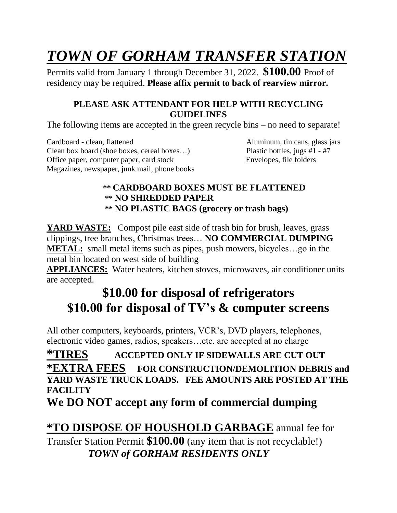# *TOWN OF GORHAM TRANSFER STATION*

Permits valid from January 1 through December 31, 2022. **\$100.00** Proof of residency may be required. **Please affix permit to back of rearview mirror.**

### **PLEASE ASK ATTENDANT FOR HELP WITH RECYCLING GUIDELINES**

The following items are accepted in the green recycle bins – no need to separate!

Cardboard - clean, flattened Aluminum, tin cans, glass jars Clean box board (shoe boxes, cereal boxes…) Plastic bottles, jugs #1 - #7 Office paper, computer paper, card stock Envelopes, file folders Magazines, newspaper, junk mail, phone books

### **\*\* CARDBOARD BOXES MUST BE FLATTENED \*\* NO SHREDDED PAPER \*\* NO PLASTIC BAGS (grocery or trash bags)**

**YARD WASTE:** Compost pile east side of trash bin for brush, leaves, grass clippings, tree branches, Christmas trees… **NO COMMERCIAL DUMPING METAL:** small metal items such as pipes, push mowers, bicycles…go in the metal bin located on west side of building

**APPLIANCES:** Water heaters, kitchen stoves, microwaves, air conditioner units are accepted.

## **\$10.00 for disposal of refrigerators \$10.00 for disposal of TV's & computer screens**

All other computers, keyboards, printers, VCR's, DVD players, telephones, electronic video games, radios, speakers…etc. are accepted at no charge

**\*TIRES ACCEPTED ONLY IF SIDEWALLS ARE CUT OUT \*EXTRA FEES FOR CONSTRUCTION/DEMOLITION DEBRIS and YARD WASTE TRUCK LOADS. FEE AMOUNTS ARE POSTED AT THE FACILITY**

**We DO NOT accept any form of commercial dumping**

**\*TO DISPOSE OF HOUSHOLD GARBAGE** annual fee for Transfer Station Permit **\$100.00** (any item that is not recyclable!)  *TOWN of GORHAM RESIDENTS ONLY*